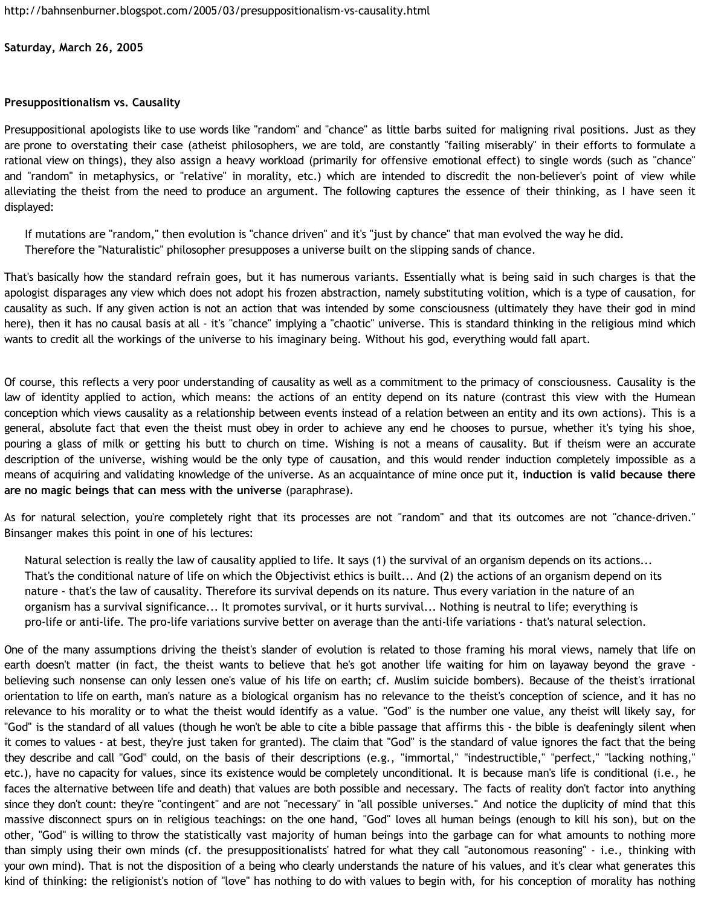## **Saturday, March 26, 2005**

## **Presuppositionalism vs. Causality**

Presuppositional apologists like to use words like "random" and "chance" as little barbs suited for maligning rival positions. Just as they are prone to overstating their case (atheist philosophers, we are told, are constantly "failing miserably" in their efforts to formulate a rational view on things), they also assign a heavy workload (primarily for offensive emotional effect) to single words (such as "chance" and "random" in metaphysics, or "relative" in morality, etc.) which are intended to discredit the non-believer's point of view while alleviating the theist from the need to produce an argument. The following captures the essence of their thinking, as I have seen it displayed:

If mutations are "random," then evolution is "chance driven" and it's "just by chance" that man evolved the way he did. Therefore the "Naturalistic" philosopher presupposes a universe built on the slipping sands of chance.

That's basically how the standard refrain goes, but it has numerous variants. Essentially what is being said in such charges is that the apologist disparages any view which does not adopt his frozen abstraction, namely substituting volition, which is a type of causation, for causality as such. If any given action is not an action that was intended by some consciousness (ultimately they have their god in mind here), then it has no causal basis at all - it's "chance" implying a "chaotic" universe. This is standard thinking in the religious mind which wants to credit all the workings of the universe to his imaginary being. Without his god, everything would fall apart.

Of course, this reflects a very poor understanding of causality as well as a commitment to the primacy of consciousness. Causality is the law of identity applied to action, which means: the actions of an entity depend on its nature (contrast this view with the Humean conception which views causality as a relationship between events instead of a relation between an entity and its own actions). This is a general, absolute fact that even the theist must obey in order to achieve any end he chooses to pursue, whether it's tying his shoe, pouring a glass of milk or getting his butt to church on time. Wishing is not a means of causality. But if theism were an accurate description of the universe, wishing would be the only type of causation, and this would render induction completely impossible as a means of acquiring and validating knowledge of the universe. As an acquaintance of mine once put it, **induction is valid because there are no magic beings that can mess with the universe** (paraphrase).

As for natural selection, you're completely right that its processes are not "random" and that its outcomes are not "chance-driven." Binsanger makes this point in one of his lectures:

Natural selection is really the law of causality applied to life. It says (1) the survival of an organism depends on its actions... That's the conditional nature of life on which the Objectivist ethics is built... And (2) the actions of an organism depend on its nature - that's the law of causality. Therefore its survival depends on its nature. Thus every variation in the nature of an organism has a survival significance... It promotes survival, or it hurts survival... Nothing is neutral to life; everything is pro-life or anti-life. The pro-life variations survive better on average than the anti-life variations - that's natural selection.

One of the many assumptions driving the theist's slander of evolution is related to those framing his moral views, namely that life on earth doesn't matter (in fact, the theist wants to believe that he's got another life waiting for him on layaway beyond the grave believing such nonsense can only lessen one's value of his life on earth; cf. Muslim suicide bombers). Because of the theist's irrational orientation to life on earth, man's nature as a biological organism has no relevance to the theist's conception of science, and it has no relevance to his morality or to what the theist would identify as a value. "God" is the number one value, any theist will likely say, for "God" is the standard of all values (though he won't be able to cite a bible passage that affirms this - the bible is deafeningly silent when it comes to values - at best, they're just taken for granted). The claim that "God" is the standard of value ignores the fact that the being they describe and call "God" could, on the basis of their descriptions (e.g., "immortal," "indestructible," "perfect," "lacking nothing," etc.), have no capacity for values, since its existence would be completely unconditional. It is because man's life is conditional (i.e., he faces the alternative between life and death) that values are both possible and necessary. The facts of reality don't factor into anything since they don't count: they're "contingent" and are not "necessary" in "all possible universes." And notice the duplicity of mind that this massive disconnect spurs on in religious teachings: on the one hand, "God" loves all human beings (enough to kill his son), but on the other, "God" is willing to throw the statistically vast majority of human beings into the garbage can for what amounts to nothing more than simply using their own minds (cf. the presuppositionalists' hatred for what they call "autonomous reasoning" - i.e., thinking with your own mind). That is not the disposition of a being who clearly understands the nature of his values, and it's clear what generates this kind of thinking: the religionist's notion of "love" has nothing to do with values to begin with, for his conception of morality has nothing